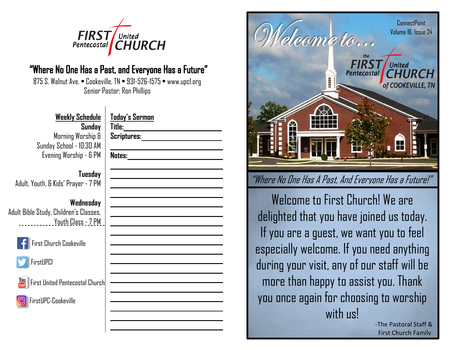

# "Where No One Has a Past, and Everyone Has a Future"

875 S. Walnut Ave. • Cookeville, TN • 931-526-1575 • www.upc1.org Senior Pastor: Ron Phillips

| <b>Weekly Schedule</b>   |
|--------------------------|
| Sunday                   |
| Morning Worship &        |
| Sunday School - 10:30 AM |
| Evening Worship - 6 PM   |

## **Tuesday** Adult, Youth, & Kids' Prayer - 7 PM

# **Wednesday**

Adult Bible Study, Children's Classes, Youth Class - 7 PM



First Church Cookeville



**First United Pentecostal Chur** 

FirstUPC-Cookeville

| Title:_______________<br>Scriptures:___________________ |                                              |  |
|---------------------------------------------------------|----------------------------------------------|--|
| <b>Notes:</b>                                           | <u> 1980 - Jan Barnett, fransk politiker</u> |  |
|                                                         |                                              |  |
|                                                         |                                              |  |
|                                                         |                                              |  |
|                                                         |                                              |  |
|                                                         |                                              |  |
|                                                         |                                              |  |
|                                                         |                                              |  |
|                                                         |                                              |  |
|                                                         |                                              |  |
|                                                         |                                              |  |



Welcome to First Church! We are delighted that you have joined us today. If you are a guest, we want you to feel especially welcome. If you need anything during your visit, any of our staff will be more than happy to assist you. Thank you once again for choosing to worship with us!

-The Pastoral Staff & First Church Family